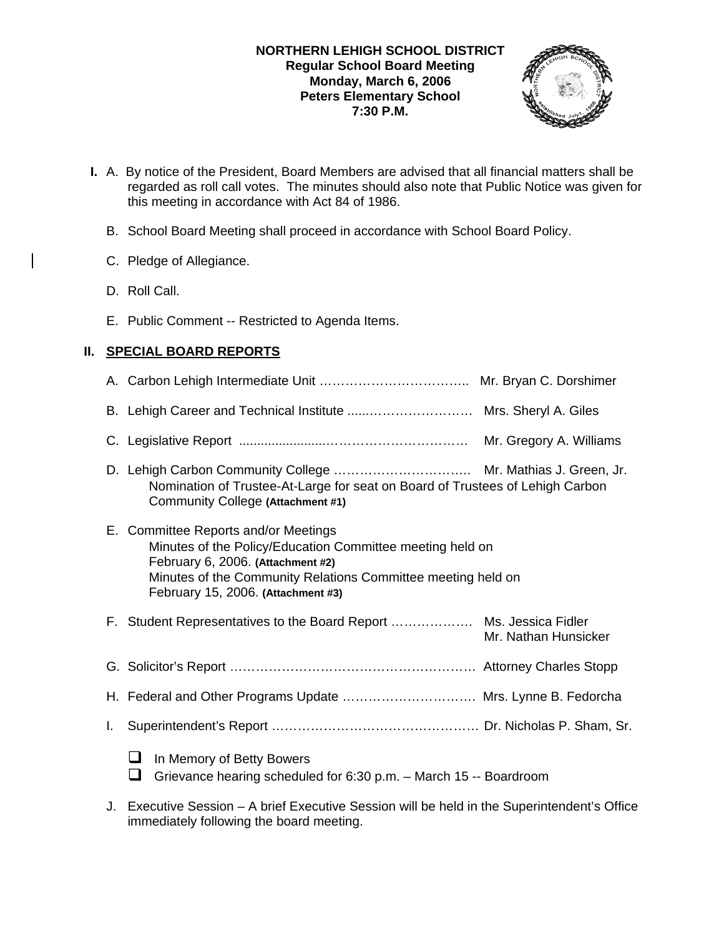### **NORTHERN LEHIGH SCHOOL DISTRICT Regular School Board Meeting Monday, March 6, 2006 Peters Elementary School 7:30 P.M.**



- **I.** A. By notice of the President, Board Members are advised that all financial matters shall be regarded as roll call votes. The minutes should also note that Public Notice was given for this meeting in accordance with Act 84 of 1986.
	- B. School Board Meeting shall proceed in accordance with School Board Policy.
	- C. Pledge of Allegiance.
	- D. Roll Call.
	- E. Public Comment -- Restricted to Agenda Items.

# **II. SPECIAL BOARD REPORTS**

|    | Nomination of Trustee-At-Large for seat on Board of Trustees of Lehigh Carbon<br>Community College (Attachment #1)                                                                                                                           |
|----|----------------------------------------------------------------------------------------------------------------------------------------------------------------------------------------------------------------------------------------------|
|    | E. Committee Reports and/or Meetings<br>Minutes of the Policy/Education Committee meeting held on<br>February 6, 2006. (Attachment #2)<br>Minutes of the Community Relations Committee meeting held on<br>February 15, 2006. (Attachment #3) |
|    | Mr. Nathan Hunsicker                                                                                                                                                                                                                         |
|    |                                                                                                                                                                                                                                              |
|    | H. Federal and Other Programs Update  Mrs. Lynne B. Fedorcha                                                                                                                                                                                 |
| L. |                                                                                                                                                                                                                                              |
|    | In Memory of Betty Bowers<br>Grievance hearing scheduled for 6:30 p.m. - March 15 -- Boardroom                                                                                                                                               |

J. Executive Session – A brief Executive Session will be held in the Superintendent's Office immediately following the board meeting.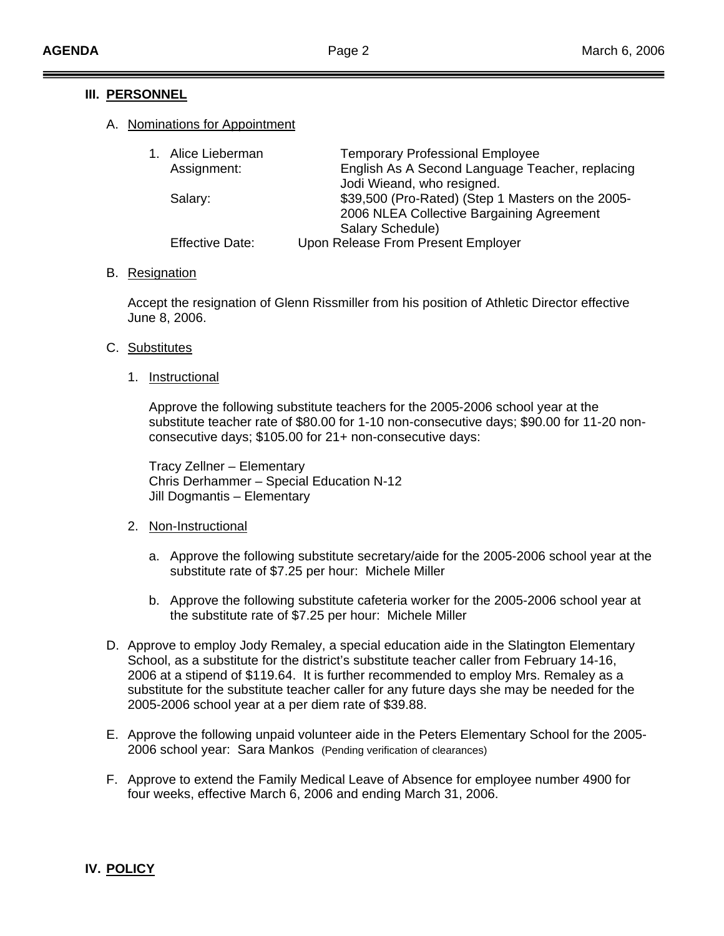### **III. PERSONNEL**

### A. Nominations for Appointment

| 1. Alice Lieberman     | <b>Temporary Professional Employee</b>            |
|------------------------|---------------------------------------------------|
| Assignment:            | English As A Second Language Teacher, replacing   |
|                        | Jodi Wieand, who resigned.                        |
| Salary:                | \$39,500 (Pro-Rated) (Step 1 Masters on the 2005- |
|                        | 2006 NLEA Collective Bargaining Agreement         |
|                        | Salary Schedule)                                  |
| <b>Effective Date:</b> | Upon Release From Present Employer                |

### B. Resignation

 Accept the resignation of Glenn Rissmiller from his position of Athletic Director effective June 8, 2006.

### C. Substitutes

1. Instructional

 Approve the following substitute teachers for the 2005-2006 school year at the substitute teacher rate of \$80.00 for 1-10 non-consecutive days; \$90.00 for 11-20 non consecutive days; \$105.00 for 21+ non-consecutive days:

 Tracy Zellner – Elementary Chris Derhammer – Special Education N-12 Jill Dogmantis – Elementary

### 2. Non-Instructional

- a. Approve the following substitute secretary/aide for the 2005-2006 school year at the substitute rate of \$7.25 per hour: Michele Miller
- b. Approve the following substitute cafeteria worker for the 2005-2006 school year at the substitute rate of \$7.25 per hour: Michele Miller
- D. Approve to employ Jody Remaley, a special education aide in the Slatington Elementary School, as a substitute for the district's substitute teacher caller from February 14-16, 2006 at a stipend of \$119.64. It is further recommended to employ Mrs. Remaley as a substitute for the substitute teacher caller for any future days she may be needed for the 2005-2006 school year at a per diem rate of \$39.88.
- E. Approve the following unpaid volunteer aide in the Peters Elementary School for the 2005- 2006 school year: Sara Mankos (Pending verification of clearances)
- F. Approve to extend the Family Medical Leave of Absence for employee number 4900 for four weeks, effective March 6, 2006 and ending March 31, 2006.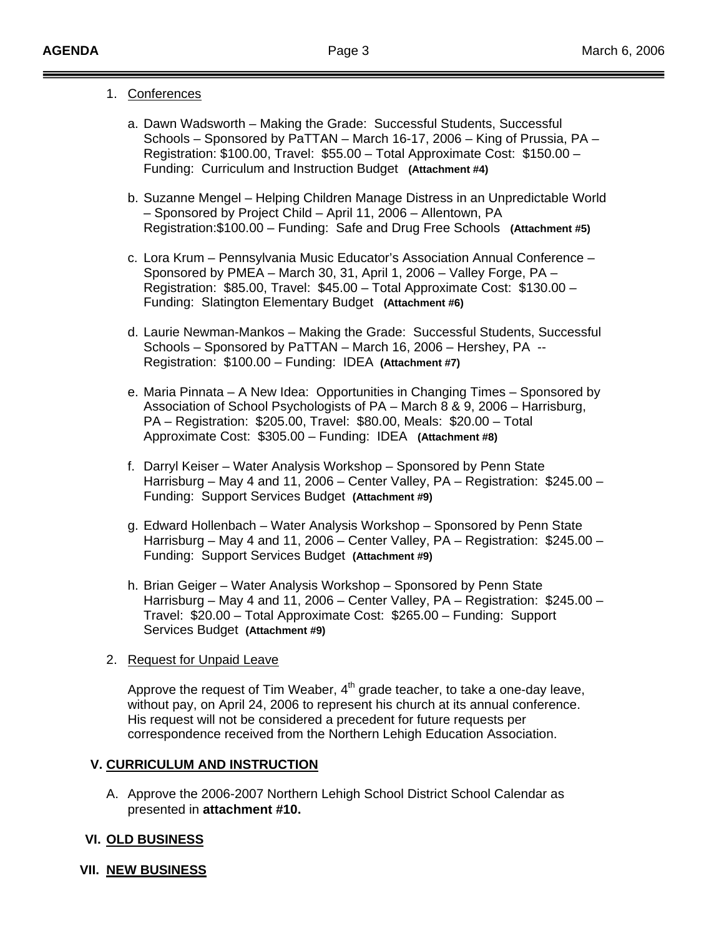### 1. Conferences

- a. Dawn Wadsworth Making the Grade: Successful Students, Successful Schools – Sponsored by PaTTAN – March 16-17, 2006 – King of Prussia, PA – Registration: \$100.00, Travel: \$55.00 – Total Approximate Cost: \$150.00 – Funding: Curriculum and Instruction Budget **(Attachment #4)**
- b. Suzanne Mengel Helping Children Manage Distress in an Unpredictable World – Sponsored by Project Child – April 11, 2006 – Allentown, PA Registration:\$100.00 – Funding: Safe and Drug Free Schools **(Attachment #5)**
- c. Lora Krum Pennsylvania Music Educator's Association Annual Conference Sponsored by PMEA – March 30, 31, April 1, 2006 – Valley Forge, PA – Registration: \$85.00, Travel: \$45.00 – Total Approximate Cost: \$130.00 – Funding: Slatington Elementary Budget **(Attachment #6)**
- d. Laurie Newman-Mankos Making the Grade: Successful Students, Successful Schools – Sponsored by PaTTAN – March 16, 2006 – Hershey, PA -- Registration: \$100.00 – Funding: IDEA **(Attachment #7)**
- e. Maria Pinnata A New Idea: Opportunities in Changing Times Sponsored by Association of School Psychologists of PA – March 8 & 9, 2006 – Harrisburg, PA – Registration: \$205.00, Travel: \$80.00, Meals: \$20.00 – Total Approximate Cost: \$305.00 – Funding: IDEA **(Attachment #8)**
- f. Darryl Keiser Water Analysis Workshop Sponsored by Penn State Harrisburg – May 4 and 11, 2006 – Center Valley, PA – Registration: \$245.00 – Funding: Support Services Budget **(Attachment #9)**
- g. Edward Hollenbach Water Analysis Workshop Sponsored by Penn State Harrisburg – May 4 and 11, 2006 – Center Valley, PA – Registration: \$245.00 – Funding: Support Services Budget **(Attachment #9)**
- h. Brian Geiger Water Analysis Workshop Sponsored by Penn State Harrisburg – May 4 and 11, 2006 – Center Valley, PA – Registration: \$245.00 – Travel: \$20.00 – Total Approximate Cost: \$265.00 – Funding: Support Services Budget **(Attachment #9)**

### 2. Request for Unpaid Leave

Approve the request of Tim Weaber,  $4<sup>th</sup>$  grade teacher, to take a one-day leave, without pay, on April 24, 2006 to represent his church at its annual conference. His request will not be considered a precedent for future requests per correspondence received from the Northern Lehigh Education Association.

## **V. CURRICULUM AND INSTRUCTION**

A. Approve the 2006-2007 Northern Lehigh School District School Calendar as presented in **attachment #10.**

## **VI. OLD BUSINESS**

### **VII. NEW BUSINESS**